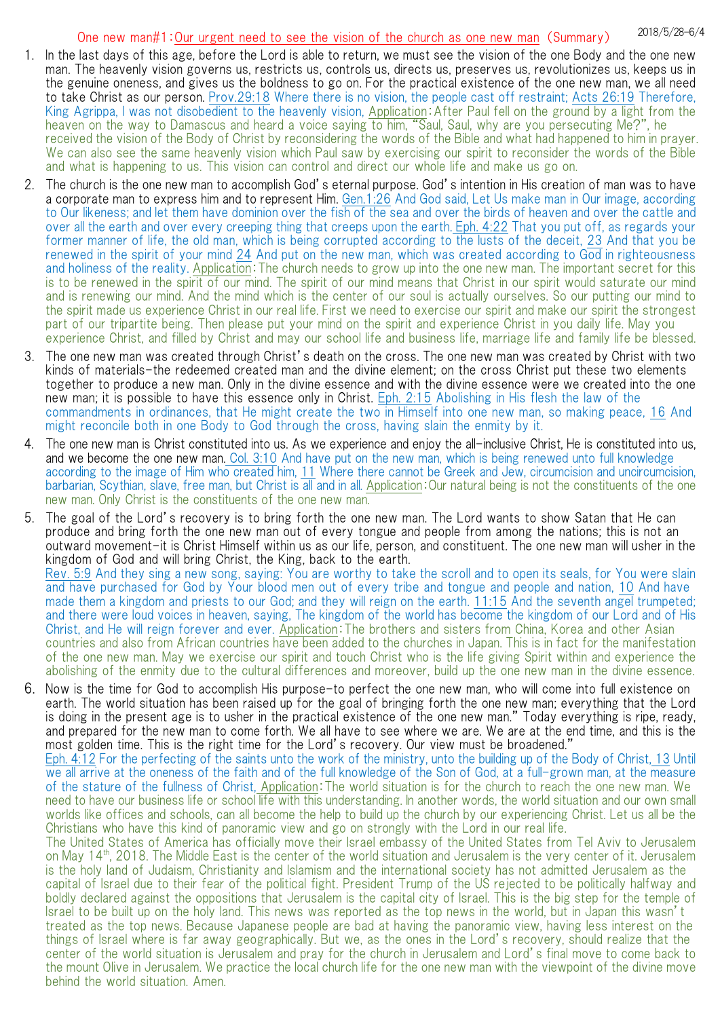# 2018/5/28-6/4 One new man#1:Our urgent need to see the vision of the church as one new man (Summary)

- 1. In the last days of this age, before the Lord is able to return, we must see the vision of the one Body and the one new man. The heavenly vision governs us, restricts us, controls us, directs us, preserves us, revolutionizes us, keeps us in the genuine oneness, and gives us the boldness to go on. For the practical existence of the one new man, we all need to take Christ as our person. Prov.29:18 Where there is no vision, the people cast off restraint; Acts 26:19 Therefore, King Agrippa, I was not disobedient to the heavenly vision, Application: After Paul fell on the ground by a light from the heaven on the way to Damascus and heard a voice saying to him, "Saul, Saul, why are you persecuting Me?", he received the vision of the Body of Christ by reconsidering the words of the Bible and what had happened to him in prayer. We can also see the same heavenly vision which Paul saw by exercising our spirit to reconsider the words of the Bible and what is happening to us. This vision can control and direct our whole life and make us go on.
- 2. The church is the one new man to accomplish God's eternal purpose. God's intention in His creation of man was to have a corporate man to express him and to represent Him. Gen.1:26 And God said, Let Us make man in Our image, according to Our likeness; and let them have dominion over the fish of the sea and over the birds of heaven and over the cattle and over all the earth and over every creeping thing that creeps upon the earth. Eph. 4:22 That you put off, as regards your former manner of life, the old man, which is being corrupted according to the lusts of the deceit, 23 And that you be renewed in the spirit of your mind 24 And put on the new man, which was created according to God in righteousness and holiness of the reality. Application:The church needs to grow up into the one new man. The important secret for this is to be renewed in the spirit of our mind. The spirit of our mind means that Christ in our spirit would saturate our mind and is renewing our mind. And the mind which is the center of our soul is actually ourselves. So our putting our mind to the spirit made us experience Christ in our real life. First we need to exercise our spirit and make our spirit the strongest part of our tripartite being. Then please put your mind on the spirit and experience Christ in you daily life. May you experience Christ, and filled by Christ and may our school life and business life, marriage life and family life be blessed.
- 3. The one new man was created through Christ's death on the cross. The one new man was created by Christ with two kinds of materials-the redeemed created man and the divine element; on the cross Christ put these two elements together to produce a new man. Only in the divine essence and with the divine essence were we created into the one new man; it is possible to have this essence only in Christ. Eph. 2:15 Abolishing in His flesh the law of the commandments in ordinances, that He might create the two in Himself into one new man, so making peace, 16 And might reconcile both in one Body to God through the cross, having slain the enmity by it.
- 4. The one new man is Christ constituted into us. As we experience and enjoy the all-inclusive Christ, He is constituted into us, and we become the one new man. Col. 3:10 And have put on the new man, which is being renewed unto full knowledge according to the image of Him who created him, 11 Where there cannot be Greek and Jew, circumcision and uncircumcision, barbarian, Scythian, slave, free man, but Christ is all and in all. Application: Our natural being is not the constituents of the one new man. Only Christ is the constituents of the one new man.
- 5. The goal of the Lord's recovery is to bring forth the one new man. The Lord wants to show Satan that He can produce and bring forth the one new man out of every tongue and people from among the nations; this is not an outward movement-it is Christ Himself within us as our life, person, and constituent. The one new man will usher in the kingdom of God and will bring Christ, the King, back to the earth. Rev. 5:9 And they sing a new song, saying: You are worthy to take the scroll and to open its seals, for You were slain and have purchased for God by Your blood men out of every tribe and tongue and people and nation, 10 And have made them a kingdom and priests to our God; and they will reign on the earth. 11:15 And the seventh angel trumpeted; and there were loud voices in heaven, saying, The kingdom of the world has become the kingdom of our Lord and of His Christ, and He will reign forever and ever. Application:The brothers and sisters from China, Korea and other Asian countries and also from African countries have been added to the churches in Japan. This is in fact for the manifestation of the one new man. May we exercise our spirit and touch Christ who is the life giving Spirit within and experience the abolishing of the enmity due to the cultural differences and moreover, build up the one new man in the divine essence.
- 6. Now is the time for God to accomplish His purpose-to perfect the one new man, who will come into full existence on earth. The world situation has been raised up for the goal of bringing forth the one new man; everything that the Lord is doing in the present age is to usher in the practical existence of the one new man." Today everything is ripe, ready, and prepared for the new man to come forth. We all have to see where we are. We are at the end time, and this is the most golden time. This is the right time for the Lord's recovery. Our view must be broadened." Eph. 4:12 For the perfecting of the saints unto the work of the ministry, unto the building up of the Body of Christ, 13 Until we all arrive at the oneness of the faith and of the full knowledge of the Son of God, at a full-grown man, at the measure of the stature of the fullness of Christ, Application:The world situation is for the church to reach the one new man. We need to have our business life or school life with this understanding. In another words, the world situation and our own small worlds like offices and schools, can all become the help to build up the church by our experiencing Christ. Let us all be the Christians who have this kind of panoramic view and go on strongly with the Lord in our real life. The United States of America has officially move their Israel embassy of the United States from Tel Aviv to Jerusalem on May 14<sup>th</sup>, 2018. The Middle East is the center of the world situation and Jerusalem is the very center of it. Jerusalem is the holy land of Judaism, Christianity and Islamism and the international society has not admitted Jerusalem as the capital of Israel due to their fear of the political fight. President Trump of the US rejected to be politically halfway and boldly declared against the oppositions that Jerusalem is the capital city of Israel. This is the big step for the temple of Israel to be built up on the holy land. This news was reported as the top news in the world, but in Japan this wasn't treated as the top news. Because Japanese people are bad at having the panoramic view, having less interest on the things of Israel where is far away geographically. But we, as the ones in the Lord's recovery, should realize that the center of the world situation is Jerusalem and pray for the church in Jerusalem and Lord's final move to come back to

the mount Olive in Jerusalem. We practice the local church life for the one new man with the viewpoint of the divine move

behind the world situation. Amen.